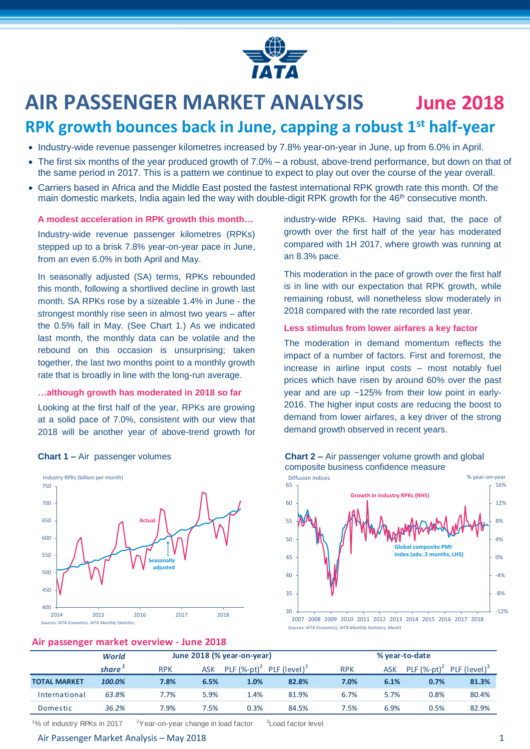

# **AIR PASSENGER MARKET ANALYSIS June 2018**

## **RPK growth bounces back in June, capping a robust 1st half-year**

- Industry-wide revenue passenger kilometres increased by 7.8% year-on-year in June, up from 6.0% in April.
- The first six months of the year produced growth of 7.0% a robust, above-trend performance, but down on that of the same period in 2017. This is a pattern we continue to expect to play out over the course of the year overall.
- Carriers based in Africa and the Middle East posted the fastest international RPK growth rate this month. Of the main domestic markets, India again led the way with double-digit RPK growth for the 46<sup>th</sup> consecutive month.

#### **A modest acceleration in RPK growth this month…**

Industry-wide revenue passenger kilometres (RPKs) stepped up to a brisk 7.8% year-on-year pace in June, from an even 6.0% in both April and May.

In seasonally adjusted (SA) terms, RPKs rebounded this month, following a shortlived decline in growth last month. SA RPKs rose by a sizeable 1.4% in June - the strongest monthly rise seen in almost two years – after the 0.5% fall in May. (See Chart 1.) As we indicated last month, the monthly data can be volatile and the rebound on this occasion is unsurprising; taken together, the last two months point to a monthly growth rate that is broadly in line with the long-run average.

#### **…although growth has moderated in 2018 so far**

Looking at the first half of the year, RPKs are growing at a solid pace of 7.0%, consistent with our view that 2018 will be another year of above-trend growth for



**Air passenger market overview - June 2018**

industry-wide RPKs. Having said that, the pace of growth over the first half of the year has moderated compared with 1H 2017, where growth was running at an 8.3% pace.

This moderation in the pace of growth over the first half is in line with our expectation that RPK growth, while remaining robust, will nonetheless slow moderately in 2018 compared with the rate recorded last year.

#### **Less stimulus from lower airfares a key factor**

The moderation in demand momentum reflects the impact of a number of factors. First and foremost, the increase in airline input costs – most notably fuel prices which have risen by around 60% over the past year and are up ~125% from their low point in early-2016. The higher input costs are reducing the boost to demand from lower airfares, a key driver of the strong demand growth observed in recent years.



#### **Chart 1 –** Air passenger volumes **Chart 2 –** Air passenger volume growth and global composite business confidence measure

2007 2008 2009 2010 2011 2012 2013 2014 2015 2016 2017 2018 *Sources: IATA Economics, IATA Monthly Statistics, Markit*

| $1.01$ possessing of the next state in the next section and $\sim$ |                    |                            |            |                                                      |       |                |            |                |                 |  |  |  |
|--------------------------------------------------------------------|--------------------|----------------------------|------------|------------------------------------------------------|-------|----------------|------------|----------------|-----------------|--|--|--|
|                                                                    | <b>World</b>       | June 2018 (% year-on-year) |            |                                                      |       | % year-to-date |            |                |                 |  |  |  |
|                                                                    | share <sup>+</sup> | <b>RPK</b>                 | <b>ASK</b> | PLF $(\%$ -pt) <sup>2</sup> PLF (level) <sup>3</sup> |       | <b>RPK</b>     | <b>ASK</b> | PLF $(%-pt)^2$ | PLF $(level)^3$ |  |  |  |
| <b>TOTAL MARKET</b>                                                | 100.0%             | 7.8%                       | 6.5%       | 1.0%                                                 | 82.8% | 7.0%           | 6.1%       | 0.7%           | 81.3%           |  |  |  |
| International                                                      | 63.8%              | 7.7%                       | 5.9%       | 1.4%                                                 | 81.9% | 6.7%           | 5.7%       | 0.8%           | 80.4%           |  |  |  |
| Domestic                                                           | 36.2%              | 7.9%                       | 7.5%       | 0.3%                                                 | 84.5% | 7.5%           | 6.9%       | 0.5%           | 82.9%           |  |  |  |

<sup>1</sup>% of industry RPKs in 2017  $2^2$ Year-on-year change in load factor <sup>3</sup> Load factor level

#### Air Passenger Market Analysis – May 2018 1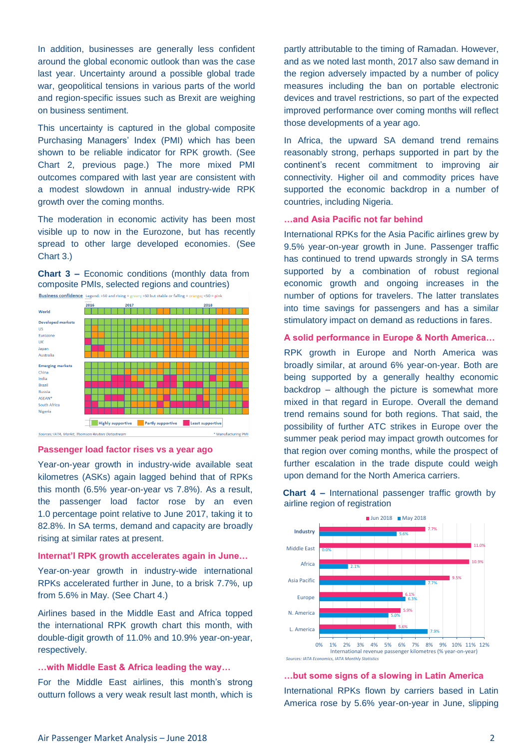In addition, businesses are generally less confident around the global economic outlook than was the case last year. Uncertainty around a possible global trade war, geopolitical tensions in various parts of the world and region-specific issues such as Brexit are weighing on business sentiment.

This uncertainty is captured in the global composite Purchasing Managers' Index (PMI) which has been shown to be reliable indicator for RPK growth. (See Chart 2, previous page.) The more mixed PMI outcomes compared with last year are consistent with a modest slowdown in annual industry-wide RPK growth over the coming months.

The moderation in economic activity has been most visible up to now in the Eurozone, but has recently spread to other large developed economies. (See Chart 3.)





#### **Passenger load factor rises vs a year ago**

Year-on-year growth in industry-wide available seat kilometres (ASKs) again lagged behind that of RPKs this month (6.5% year-on-year vs 7.8%). As a result, the passenger load factor rose by an even 1.0 percentage point relative to June 2017, taking it to 82.8%. In SA terms, demand and capacity are broadly rising at similar rates at present.

#### **Internat'l RPK growth accelerates again in June…**

Year-on-year growth in industry-wide international RPKs accelerated further in June, to a brisk 7.7%, up from 5.6% in May. (See Chart 4.)

Airlines based in the Middle East and Africa topped the international RPK growth chart this month, with double-digit growth of 11.0% and 10.9% year-on-year, respectively.

#### **…with Middle East & Africa leading the way…**

For the Middle East airlines, this month's strong outturn follows a very weak result last month, which is

partly attributable to the timing of Ramadan. However, and as we noted last month, 2017 also saw demand in the region adversely impacted by a number of policy measures including the ban on portable electronic devices and travel restrictions, so part of the expected improved performance over coming months will reflect those developments of a year ago.

In Africa, the upward SA demand trend remains reasonably strong, perhaps supported in part by the continent's recent commitment to improving air connectivity. Higher oil and commodity prices have supported the economic backdrop in a number of countries, including Nigeria.

#### **…and Asia Pacific not far behind**

International RPKs for the Asia Pacific airlines grew by 9.5% year-on-year growth in June. Passenger traffic has continued to trend upwards strongly in SA terms supported by a combination of robust regional economic growth and ongoing increases in the number of options for travelers. The latter translates into time savings for passengers and has a similar stimulatory impact on demand as reductions in fares.

#### **A solid performance in Europe & North America…**

RPK growth in Europe and North America was broadly similar, at around 6% year-on-year. Both are being supported by a generally healthy economic backdrop – although the picture is somewhat more mixed in that regard in Europe. Overall the demand trend remains sound for both regions. That said, the possibility of further ATC strikes in Europe over the summer peak period may impact growth outcomes for that region over coming months, while the prospect of further escalation in the trade dispute could weigh upon demand for the North America carriers.



**Chart 4 –** International passenger traffic growth by airline region of registration

#### **…but some signs of a slowing in Latin America**

International RPKs flown by carriers based in Latin America rose by 5.6% year-on-year in June, slipping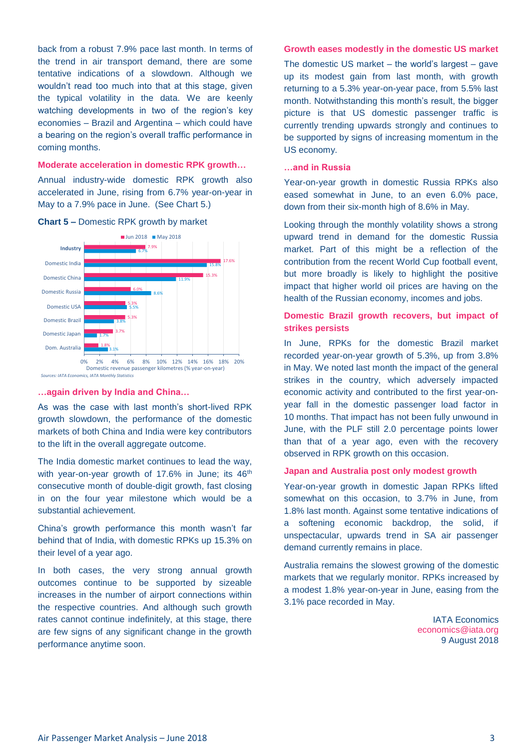back from a robust 7.9% pace last month. In terms of the trend in air transport demand, there are some tentative indications of a slowdown. Although we wouldn't read too much into that at this stage, given the typical volatility in the data. We are keenly watching developments in two of the region's key economies – Brazil and Argentina – which could have a bearing on the region's overall traffic performance in coming months.

#### **Moderate acceleration in domestic RPK growth…**

Annual industry-wide domestic RPK growth also accelerated in June, rising from 6.7% year-on-year in May to a 7.9% pace in June. (See Chart 5.)



#### **Chart 5 –** Domestic RPK growth by market

#### **…again driven by India and China…**

As was the case with last month's short-lived RPK growth slowdown, the performance of the domestic markets of both China and India were key contributors to the lift in the overall aggregate outcome.

The India domestic market continues to lead the way, with year-on-year growth of 17.6% in June; its 46<sup>th</sup> consecutive month of double-digit growth, fast closing in on the four year milestone which would be a substantial achievement.

China's growth performance this month wasn't far behind that of India, with domestic RPKs up 15.3% on their level of a year ago.

In both cases, the very strong annual growth outcomes continue to be supported by sizeable increases in the number of airport connections within the respective countries. And although such growth rates cannot continue indefinitely, at this stage, there are few signs of any significant change in the growth performance anytime soon.

#### **Growth eases modestly in the domestic US market**

The domestic US market – the world's largest – gave up its modest gain from last month, with growth returning to a 5.3% year-on-year pace, from 5.5% last month. Notwithstanding this month's result, the bigger picture is that US domestic passenger traffic is currently trending upwards strongly and continues to be supported by signs of increasing momentum in the US economy.

#### **…and in Russia**

Year-on-year growth in domestic Russia RPKs also eased somewhat in June, to an even 6.0% pace, down from their six-month high of 8.6% in May.

Looking through the monthly volatility shows a strong upward trend in demand for the domestic Russia market. Part of this might be a reflection of the contribution from the recent World Cup football event, but more broadly is likely to highlight the positive impact that higher world oil prices are having on the health of the Russian economy, incomes and jobs.

### **Domestic Brazil growth recovers, but impact of strikes persists**

In June, RPKs for the domestic Brazil market recorded year-on-year growth of 5.3%, up from 3.8% in May. We noted last month the impact of the general strikes in the country, which adversely impacted economic activity and contributed to the first year-onyear fall in the domestic passenger load factor in 10 months. That impact has not been fully unwound in June, with the PLF still 2.0 percentage points lower than that of a year ago, even with the recovery observed in RPK growth on this occasion.

#### **Japan and Australia post only modest growth**

Year-on-year growth in domestic Japan RPKs lifted somewhat on this occasion, to 3.7% in June, from 1.8% last month. Against some tentative indications of a softening economic backdrop, the solid, if unspectacular, upwards trend in SA air passenger demand currently remains in place.

Australia remains the slowest growing of the domestic markets that we regularly monitor. RPKs increased by a modest 1.8% year-on-year in June, easing from the 3.1% pace recorded in May.

> IATA Economics [economics@iata.org](mailto:economics@iata.org) 9 August 2018